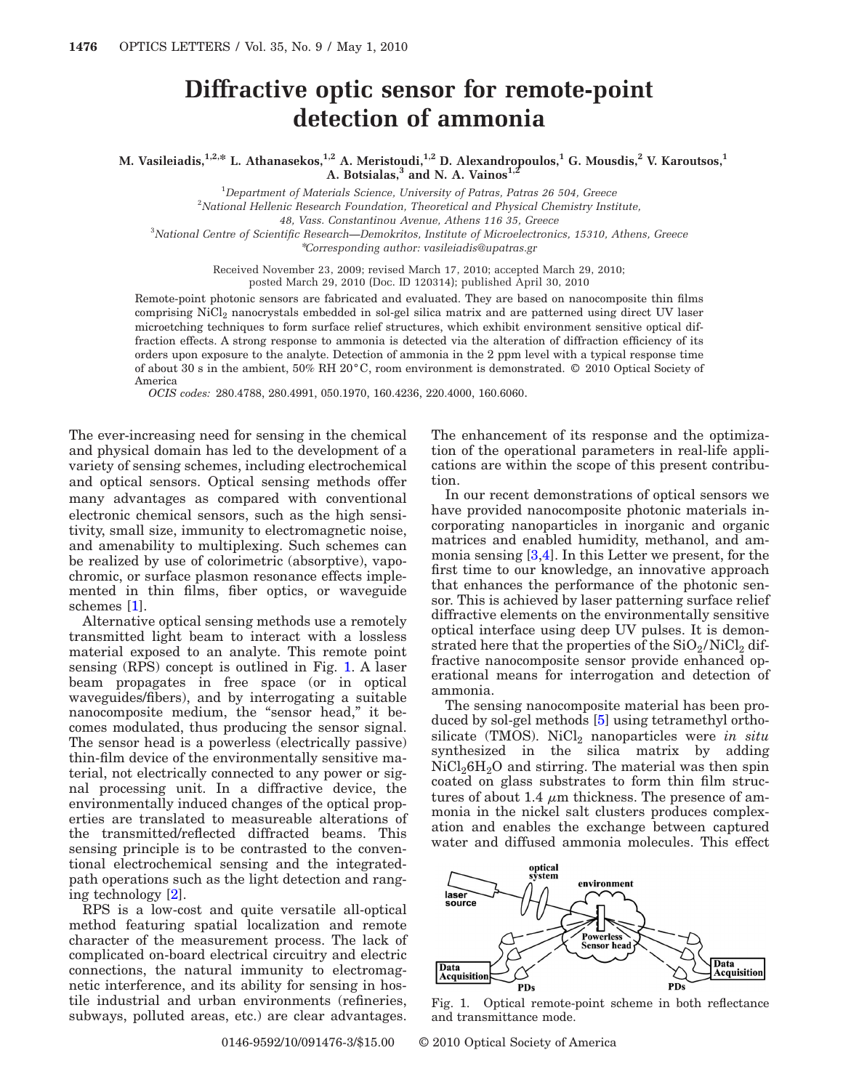## **Diffractive optic sensor for remote-point detection of ammonia**

**M. Vasileiadis,1,2,\* L. Athanasekos,1,2 A. Meristoudi,1,2 D. Alexandropoulos,1 G. Mousdis,2 V. Karoutsos,1 A. Botsialas,<sup>3</sup> and N. A. Vainos<sup>1,2</sup>** 

1 *Department of Materials Science, University of Patras, Patras 26 504, Greece*

2 *National Hellenic Research Foundation, Theoretical and Physical Chemistry Institute,*

*48, Vass. Constantinou Avenue, Athens 116 35, Greece*

3 *National Centre of Scientific Research—Demokritos, Institute of Microelectronics, 15310, Athens, Greece*

\**Corresponding author: vasileiadis@upatras.gr*

Received November 23, 2009; revised March 17, 2010; accepted March 29, 2010; posted March 29, 2010 (Doc. ID 120314); published April 30, 2010

Remote-point photonic sensors are fabricated and evaluated. They are based on nanocomposite thin films comprising NiCl<sub>2</sub> nanocrystals embedded in sol-gel silica matrix and are patterned using direct UV laser microetching techniques to form surface relief structures, which exhibit environment sensitive optical diffraction effects. A strong response to ammonia is detected via the alteration of diffraction efficiency of its orders upon exposure to the analyte. Detection of ammonia in the 2 ppm level with a typical response time of about 30 s in the ambient, 50% RH 20°C, room environment is demonstrated. © 2010 Optical Society of America

*OCIS codes:* 280.4788, 280.4991, 050.1970, 160.4236, 220.4000, 160.6060.

The ever-increasing need for sensing in the chemical and physical domain has led to the development of a variety of sensing schemes, including electrochemical and optical sensors. Optical sensing methods offer many advantages as compared with conventional electronic chemical sensors, such as the high sensitivity, small size, immunity to electromagnetic noise, and amenability to multiplexing. Such schemes can be realized by use of colorimetric (absorptive), vapochromic, or surface plasmon resonance effects implemented in thin films, fiber optics, or waveguide schemes [\[1\]](#page-2-0).

Alternative optical sensing methods use a remotely transmitted light beam to interact with a lossless material exposed to an analyte. This remote point sensing (RPS) concept is outlined in Fig. [1.](#page-0-0) A laser beam propagates in free space (or in optical waveguides/fibers), and by interrogating a suitable nanocomposite medium, the "sensor head," it becomes modulated, thus producing the sensor signal. The sensor head is a powerless (electrically passive) thin-film device of the environmentally sensitive material, not electrically connected to any power or signal processing unit. In a diffractive device, the environmentally induced changes of the optical properties are translated to measureable alterations of the transmitted/reflected diffracted beams. This sensing principle is to be contrasted to the conventional electrochemical sensing and the integratedpath operations such as the light detection and ranging technology [\[2\]](#page-2-1).

RPS is a low-cost and quite versatile all-optical method featuring spatial localization and remote character of the measurement process. The lack of complicated on-board electrical circuitry and electric connections, the natural immunity to electromagnetic interference, and its ability for sensing in hostile industrial and urban environments (refineries, subways, polluted areas, etc.) are clear advantages.

The enhancement of its response and the optimization of the operational parameters in real-life applications are within the scope of this present contribution.

In our recent demonstrations of optical sensors we have provided nanocomposite photonic materials incorporating nanoparticles in inorganic and organic matrices and enabled humidity, methanol, and ammonia sensing [\[3](#page-2-2)[,4\]](#page-2-3). In this Letter we present, for the first time to our knowledge, an innovative approach that enhances the performance of the photonic sensor. This is achieved by laser patterning surface relief diffractive elements on the environmentally sensitive optical interface using deep UV pulses. It is demonstrated here that the properties of the  $SiO<sub>2</sub>/NiCl<sub>2</sub>$  diffractive nanocomposite sensor provide enhanced operational means for interrogation and detection of ammonia.

The sensing nanocomposite material has been produced by sol-gel methods [\[5\]](#page-2-4) using tetramethyl orthosilicate (TMOS). NiCl<sub>2</sub> nanoparticles were *in situ* synthesized in the silica matrix by adding  $NiCl<sub>2</sub>6H<sub>2</sub>O$  and stirring. The material was then spin coated on glass substrates to form thin film structures of about 1.4  $\mu$ m thickness. The presence of ammonia in the nickel salt clusters produces complexation and enables the exchange between captured water and diffused ammonia molecules. This effect

<span id="page-0-0"></span>

Fig. 1. Optical remote-point scheme in both reflectance and transmittance mode.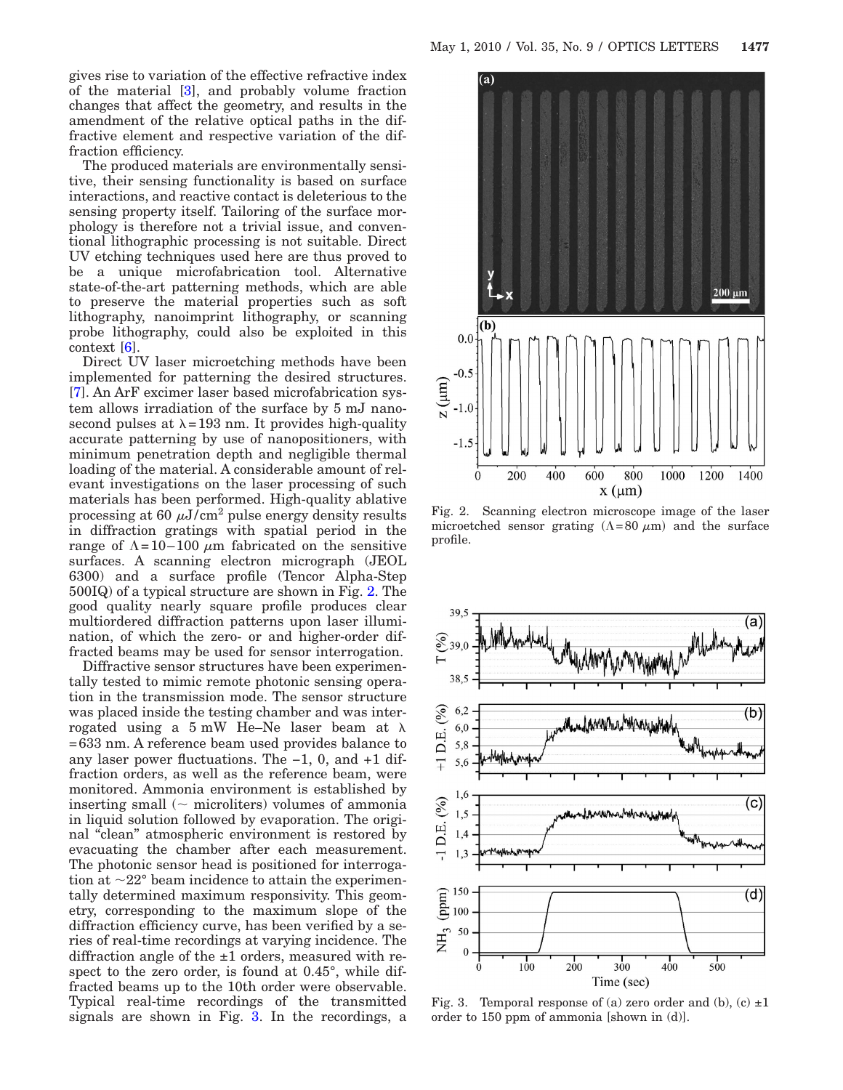gives rise to variation of the effective refractive index of the material [\[3\]](#page-2-2), and probably volume fraction changes that affect the geometry, and results in the amendment of the relative optical paths in the diffractive element and respective variation of the diffraction efficiency.

The produced materials are environmentally sensitive, their sensing functionality is based on surface interactions, and reactive contact is deleterious to the sensing property itself. Tailoring of the surface morphology is therefore not a trivial issue, and conventional lithographic processing is not suitable. Direct UV etching techniques used here are thus proved to be a unique microfabrication tool. Alternative state-of-the-art patterning methods, which are able to preserve the material properties such as soft lithography, nanoimprint lithography, or scanning probe lithography, could also be exploited in this context [\[6\]](#page-2-5).

Direct UV laser microetching methods have been implemented for patterning the desired structures. [\[7\]](#page-2-6). An ArF excimer laser based microfabrication system allows irradiation of the surface by 5 mJ nanosecond pulses at  $\lambda = 193$  nm. It provides high-quality accurate patterning by use of nanopositioners, with minimum penetration depth and negligible thermal loading of the material. A considerable amount of relevant investigations on the laser processing of such materials has been performed. High-quality ablative processing at 60  $\mu$ J/cm<sup>2</sup> pulse energy density results in diffraction gratings with spatial period in the range of  $\Lambda = 10-100 \mu m$  fabricated on the sensitive surfaces. A scanning electron micrograph (JEOL 6300) and a surface profile (Tencor Alpha-Step 500IQ) of a typical structure are shown in Fig. [2.](#page-1-0) The good quality nearly square profile produces clear multiordered diffraction patterns upon laser illumination, of which the zero- or and higher-order diffracted beams may be used for sensor interrogation.

Diffractive sensor structures have been experimentally tested to mimic remote photonic sensing operation in the transmission mode. The sensor structure was placed inside the testing chamber and was interrogated using a  $5 \text{ mW}$  He–Ne laser beam at  $\lambda$ =633 nm. A reference beam used provides balance to any laser power fluctuations. The −1, 0, and +1 diffraction orders, as well as the reference beam, were monitored. Ammonia environment is established by inserting small  $(\sim$  microliters) volumes of ammonia in liquid solution followed by evaporation. The original "clean" atmospheric environment is restored by evacuating the chamber after each measurement. The photonic sensor head is positioned for interrogation at  $\sim$ 22° beam incidence to attain the experimentally determined maximum responsivity. This geometry, corresponding to the maximum slope of the diffraction efficiency curve, has been verified by a series of real-time recordings at varying incidence. The diffraction angle of the  $\pm 1$  orders, measured with respect to the zero order, is found at 0.45°, while diffracted beams up to the 10th order were observable. Typical real-time recordings of the transmitted signals are shown in Fig. [3.](#page-1-1) In the recordings, a

<span id="page-1-0"></span>

Fig. 2. Scanning electron microscope image of the laser microetched sensor grating  $(\Lambda = 80 \mu m)$  and the surface profile.

<span id="page-1-1"></span>

Fig. 3. Temporal response of (a) zero order and (b), (c)  $\pm 1$ order to 150 ppm of ammonia [shown in (d)].